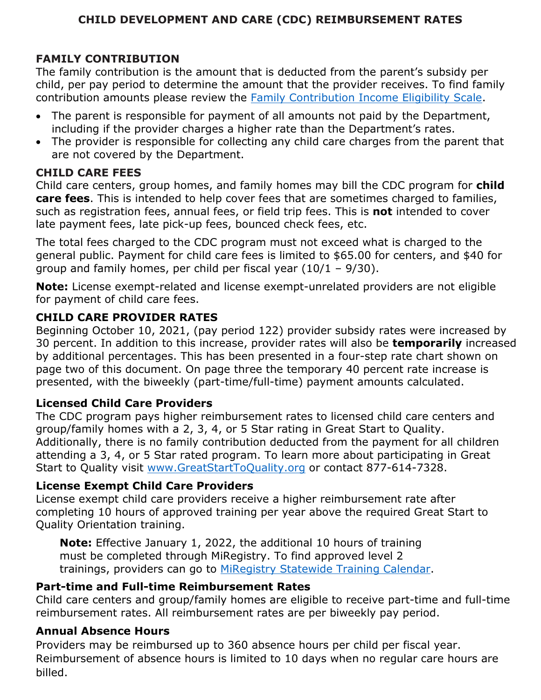# **CHILD DEVELOPMENT AND CARE (CDC) REIMBURSEMENT RATES**

# **FAMILY CONTRIBUTION**

The family contribution is the amount that is deducted from the parent's subsidy per child, per pay period to determine the amount that the provider receives. To find family contribution amounts please review the [Family Contribution Income Eligibility Scale.](https://www.michigan.gov/documents/mde/CDC_Income_Eligibility_Chart_7.2015_reauth_chgs_493178_7.pdf)

- The parent is responsible for payment of all amounts not paid by the Department, including if the provider charges a higher rate than the Department's rates.
- The provider is responsible for collecting any child care charges from the parent that are not covered by the Department.

### **CHILD CARE FEES**

Child care centers, group homes, and family homes may bill the CDC program for **child care fees**. This is intended to help cover fees that are sometimes charged to families, such as registration fees, annual fees, or field trip fees. This is **not** intended to cover late payment fees, late pick-up fees, bounced check fees, etc.

The total fees charged to the CDC program must not exceed what is charged to the general public. Payment for child care fees is limited to \$65.00 for centers, and \$40 for group and family homes, per child per fiscal year  $(10/1 - 9/30)$ .

**Note:** License exempt-related and license exempt-unrelated providers are not eligible for payment of child care fees.

## **CHILD CARE PROVIDER RATES**

Beginning October 10, 2021, (pay period 122) provider subsidy rates were increased by 30 percent. In addition to this increase, provider rates will also be **temporarily** increased by additional percentages. This has been presented in a four-step rate chart shown on page two of this document. On page three the temporary 40 percent rate increase is presented, with the biweekly (part-time/full-time) payment amounts calculated.

# **Licensed Child Care Providers**

The CDC program pays higher reimbursement rates to licensed child care centers and group/family homes with a 2, 3, 4, or 5 Star rating in Great Start to Quality. Additionally, there is no family contribution deducted from the payment for all children attending a 3, 4, or 5 Star rated program. To learn more about participating in Great Start to Quality visit [www.GreatStartToQuality.org](http://www.greatstarttoquality.org/educators) or contact 877-614-7328.

### **License Exempt Child Care Providers**

License exempt child care providers receive a higher reimbursement rate after completing 10 hours of approved training per year above the required Great Start to Quality Orientation training.

**Note:** Effective January 1, 2022, the additional 10 hours of training must be completed through MiRegistry. To find approved level 2 trainings, providers can go to [MiRegistry Statewide Training Calendar.](https://go.miregistry.org/v7/trainings/search)

### **Part-time and Full-time Reimbursement Rates**

Child care centers and group/family homes are eligible to receive part-time and full-time reimbursement rates. All reimbursement rates are per biweekly pay period.

### **Annual Absence Hours**

Providers may be reimbursed up to 360 absence hours per child per fiscal year. Reimbursement of absence hours is limited to 10 days when no regular care hours are billed.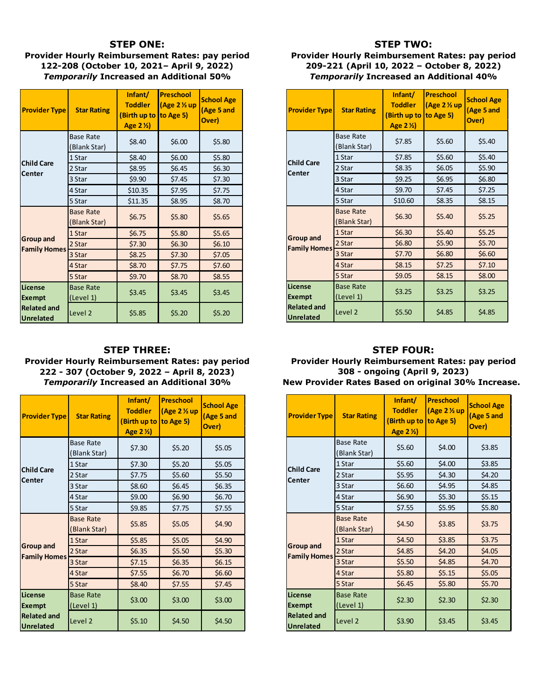#### **STEP ONE:**

**Provider Hourly Reimbursement Rates: pay period 122-208 (October 10, 2021– April 9, 2022)** *Temporarily* **Increased an Additional 50%**

| <b>Provider Type</b>                    | <b>Star Rating</b>               | Infant/<br><b>Toddler</b><br>(Birth up to<br>Age 2 1/2) | <b>Preschool</b><br>(Age $2\%$ up<br>to Age 5) | <b>School Age</b><br>(Age 5 and<br>Over) |  |
|-----------------------------------------|----------------------------------|---------------------------------------------------------|------------------------------------------------|------------------------------------------|--|
|                                         | <b>Base Rate</b><br>(Blank Star) | \$6.00<br>\$8.40                                        |                                                | \$5.80                                   |  |
|                                         | 1 Star                           | \$8.40<br>\$6.00                                        |                                                | \$5.80                                   |  |
| <b>Child Care</b><br>Center             | 2 Star                           | \$8.95                                                  | \$6.45                                         | \$6.30                                   |  |
|                                         | 3 Star                           | \$9.90                                                  | \$7.45                                         | \$7.30                                   |  |
|                                         | 4 Star                           | \$10.35<br>\$7.95                                       |                                                | \$7.75                                   |  |
|                                         | 5 Star                           | \$11.35                                                 | \$8.95                                         | \$8.70                                   |  |
| <b>Group and</b><br><b>Family Homes</b> | <b>Base Rate</b><br>(Blank Star) | \$6.75                                                  | \$5.80                                         | \$5.65                                   |  |
|                                         | 1 Star                           | \$6.75                                                  | \$5.80                                         | \$5.65                                   |  |
|                                         | 2 Star                           | \$7.30                                                  | \$6.30                                         | \$6.10                                   |  |
|                                         | 3 Star                           | \$8.25                                                  | \$7.30                                         | \$7.05                                   |  |
|                                         | 4 Star                           | \$8.70<br>\$7.75                                        |                                                | \$7.60                                   |  |
|                                         | 5 Star                           | \$9.70                                                  | \$8.70                                         | \$8.55                                   |  |
| License<br><b>Exempt</b>                | <b>Base Rate</b><br>(Level 1)    | \$3.45                                                  | \$3.45                                         | \$3.45                                   |  |
| <b>Related and</b><br><b>Unrelated</b>  | Level <sub>2</sub>               | \$5.85                                                  | \$5.20                                         | \$5.20                                   |  |

#### **STEP THREE: Provider Hourly Reimbursement Rates: pay period 222 - 307 (October 9, 2022 – April 8, 2023)** *Temporarily* **Increased an Additional 30%**

| <b>Provider Type</b>                    | <b>Star Rating</b>               | Infant/<br><b>Toddler</b><br>(Birth up to<br>Age 2 1/2) | <b>Preschool</b><br>(Age $2\%$ up<br>$\vert$ to Age 5) | <b>School Age</b><br>(Age 5 and<br>Over) |
|-----------------------------------------|----------------------------------|---------------------------------------------------------|--------------------------------------------------------|------------------------------------------|
|                                         | <b>Base Rate</b><br>(Blank Star) | \$7.30                                                  | \$5.20                                                 | \$5.05                                   |
|                                         | 1 Star                           | \$7.30                                                  | \$5.20                                                 | \$5.05                                   |
| <b>Child Care</b><br>Center             | 2 Star                           | \$7.75                                                  | \$5.60                                                 | \$5.50                                   |
|                                         | 3 Star                           | \$8.60<br>\$6.45                                        |                                                        | \$6.35                                   |
|                                         | 4 Star                           | \$6.90<br>\$9.00                                        |                                                        | \$6.70                                   |
|                                         | 5 Star                           | \$9.85                                                  | \$7.75                                                 | \$7.55                                   |
| <b>Group and</b><br><b>Family Homes</b> | <b>Base Rate</b><br>(Blank Star) | \$5.85                                                  | \$5.05                                                 | \$4.90                                   |
|                                         | 1 Star                           | \$5.85                                                  | \$5.05                                                 | \$4.90                                   |
|                                         | 2 Star                           | \$6.35                                                  | \$5.50                                                 | \$5.30                                   |
|                                         | 3 Star                           | \$7.15                                                  | \$6.35                                                 | \$6.15                                   |
|                                         | 4 Star                           | \$7.55                                                  | \$6.70                                                 | \$6.60                                   |
|                                         | 5 Star                           | \$8.40                                                  | \$7.55                                                 | \$7.45                                   |
| <b>License</b><br><b>Exempt</b>         | <b>Base Rate</b><br>(Level 1)    | \$3.00                                                  | \$3.00                                                 |                                          |
| <b>Related and</b><br><b>Unrelated</b>  | Level <sub>2</sub>               | \$5.10                                                  | \$4.50                                                 | \$4.50                                   |

#### **STEP TWO:**

#### **Provider Hourly Reimbursement Rates: pay period 209-221 (April 10, 2022 – October 8, 2022)** *Temporarily* **Increased an Additional 40%**

| <b>Provider Type</b>                   | <b>Star Rating</b>               | Infant/<br><b>Toddler</b><br>(Birth up to<br>Age 2 1/2) | <b>Preschool</b><br>(Age $2\%$ up<br>$\vert$ to Age 5) | <b>School Age</b><br>(Age 5 and<br>Over) |
|----------------------------------------|----------------------------------|---------------------------------------------------------|--------------------------------------------------------|------------------------------------------|
|                                        | <b>Base Rate</b><br>(Blank Star) | \$7.85<br>\$5.60                                        |                                                        | \$5.40                                   |
|                                        | 1 Star                           | \$7.85<br>\$5.60                                        |                                                        | \$5.40                                   |
| <b>Child Care</b><br>Center            | 2 Star                           | \$8.35                                                  | \$6.05                                                 | \$5.90                                   |
|                                        | 3 Star                           | \$9.25                                                  | \$6.95                                                 | \$6.80                                   |
|                                        | 4 Star                           | \$9.70                                                  | \$7.45                                                 | \$7.25                                   |
|                                        | 5 Star                           | \$10.60                                                 | \$8.35                                                 | \$8.15                                   |
|                                        | <b>Base Rate</b><br>(Blank Star) | \$6.30                                                  | \$5.40                                                 | \$5.25                                   |
|                                        | 1 Star                           | \$6.30                                                  | \$5.40                                                 | \$5.25                                   |
| <b>Group and</b>                       | 2 Star                           | \$6.80                                                  | \$5.90                                                 | \$5.70                                   |
| <b>Family Homes</b>                    | 3 Star                           | \$7.70                                                  | \$6.80                                                 | \$6.60                                   |
|                                        | 4 Star                           | \$8.15                                                  | \$7.25                                                 | \$7.10                                   |
|                                        | 5 Star                           | \$9.05                                                  | \$8.15                                                 | \$8.00                                   |
| <b>License</b><br><b>Exempt</b>        | <b>Base Rate</b><br>(Level 1)    | \$3.25                                                  | \$3.25                                                 | \$3.25                                   |
| <b>Related and</b><br><b>Unrelated</b> | Level <sub>2</sub>               | \$5.50                                                  | \$4.85                                                 | \$4.85                                   |

### **STEP FOUR:**

**Provider Hourly Reimbursement Rates: pay period 308 - ongoing (April 9, 2023)**

| <b>Provider Type</b>                   | <b>Star Rating</b>               | Infant/<br><b>Toddler</b><br>(Birth up to<br>Age 2 1/2) | <b>Preschool</b><br>$(Age 2 \times up)$<br>$\vert$ to Age 5) | <b>School Age</b><br>(Age 5 and<br>Over) |
|----------------------------------------|----------------------------------|---------------------------------------------------------|--------------------------------------------------------------|------------------------------------------|
|                                        | <b>Base Rate</b><br>Blank Star)  | \$5.60<br>\$4.00                                        |                                                              | \$3.85                                   |
|                                        | \$5.60<br>\$4.00<br>1 Star       |                                                         | \$3.85                                                       |                                          |
| <b>Child Care</b><br>Center            | 2 Star                           | \$5.95                                                  | \$4.30                                                       | \$4.20                                   |
|                                        | 3 Star                           | \$6.60                                                  | \$4.95                                                       | \$4.85                                   |
|                                        | 4 Star                           | \$6.90                                                  | \$5.30                                                       |                                          |
|                                        | 5 Star                           | \$7.55                                                  | \$5.95                                                       | \$5.80                                   |
|                                        | <b>Base Rate</b><br>(Blank Star) | \$4.50                                                  | \$3.85                                                       | \$3.75                                   |
|                                        | 1 Star                           | \$4.50                                                  | \$3.85                                                       | \$3.75                                   |
| <b>Group and</b>                       | 2 Star                           | \$4.85                                                  | \$4.20                                                       | \$4.05                                   |
| <b>Family Homes</b>                    | 3 Star                           | \$5.50                                                  | \$4.85                                                       | \$4.70                                   |
|                                        | 4 Star                           | \$5.80                                                  | \$5.15                                                       | \$5.05                                   |
|                                        | 5 Star                           | \$6.45                                                  | \$5.80                                                       | \$5.70                                   |
| License<br><b>Exempt</b>               | <b>Base Rate</b><br>(Level 1)    | \$2.30                                                  | \$2.30                                                       | \$2.30                                   |
| <b>Related and</b><br><b>Unrelated</b> | Level 2                          | \$3.90                                                  | \$3.45                                                       | \$3.45                                   |